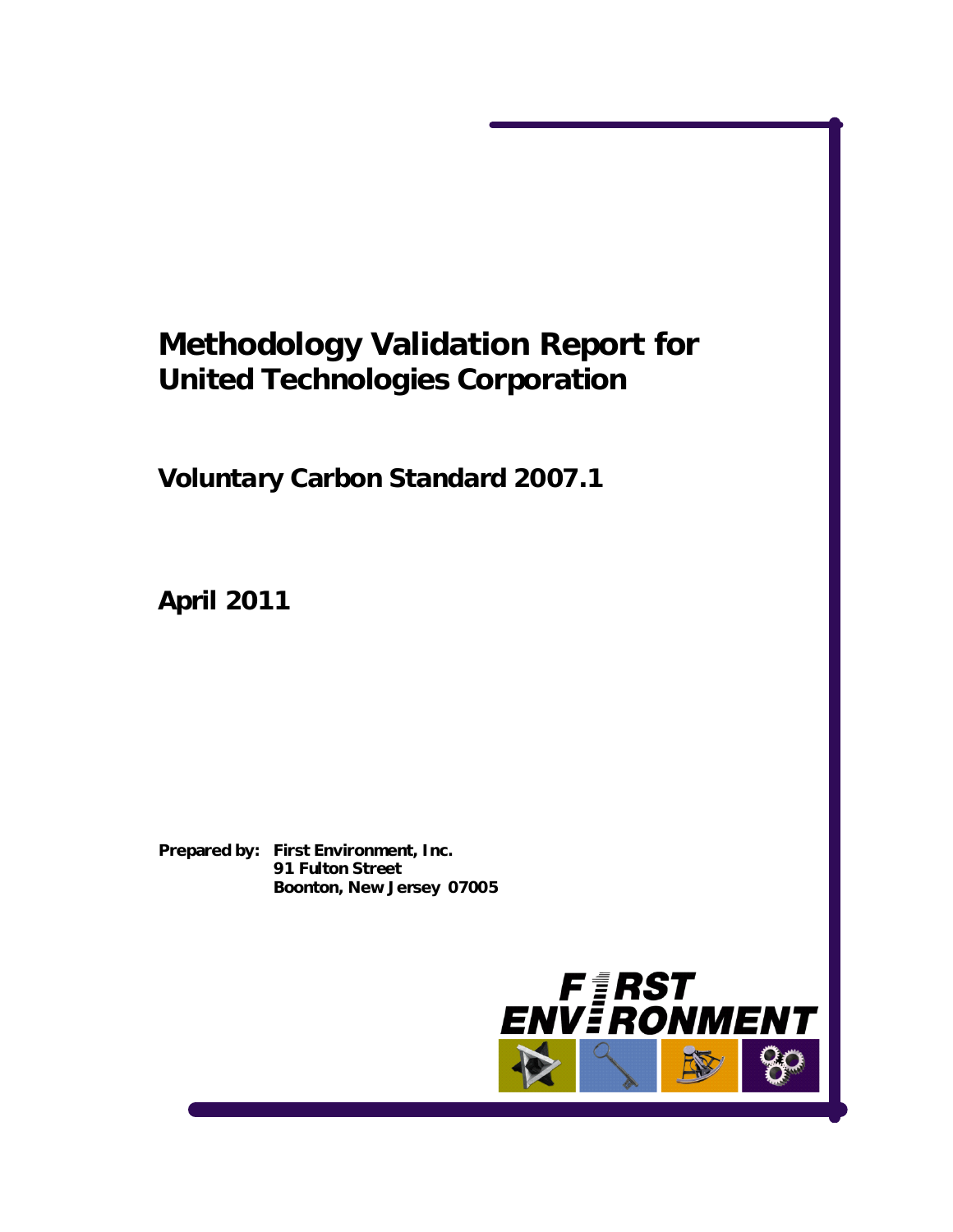# **Methodology Validation Report for United Technologies Corporation**

**Voluntary Carbon Standard 2007.1** 

**April 2011** 

**Prepared by: First Environment, Inc. 91 Fulton Street Boonton, New Jersey 07005** 

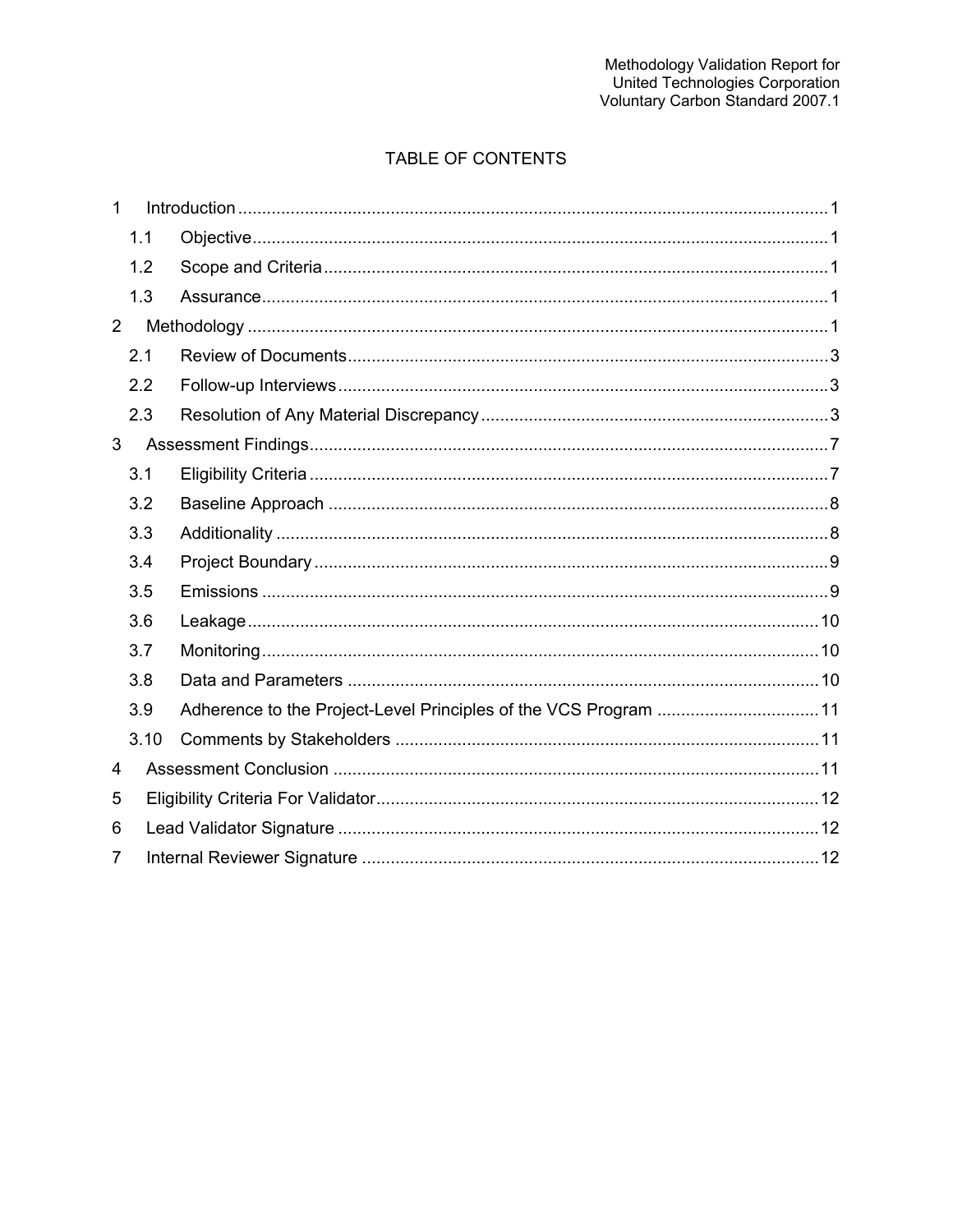### TABLE OF CONTENTS

| $\mathbf{1}$   |      |  |  |  |
|----------------|------|--|--|--|
|                | 1.1  |  |  |  |
|                | 1.2  |  |  |  |
|                | 1.3  |  |  |  |
| $\overline{2}$ |      |  |  |  |
|                | 2.1  |  |  |  |
|                | 2.2  |  |  |  |
|                | 2.3  |  |  |  |
| 3              |      |  |  |  |
|                | 3.1  |  |  |  |
|                | 3.2  |  |  |  |
|                | 3.3  |  |  |  |
|                | 3.4  |  |  |  |
|                | 3.5  |  |  |  |
|                | 3.6  |  |  |  |
|                | 3.7  |  |  |  |
|                | 3.8  |  |  |  |
|                | 3.9  |  |  |  |
|                | 3.10 |  |  |  |
| 4              |      |  |  |  |
| 5              |      |  |  |  |
| 6              |      |  |  |  |
| 7              |      |  |  |  |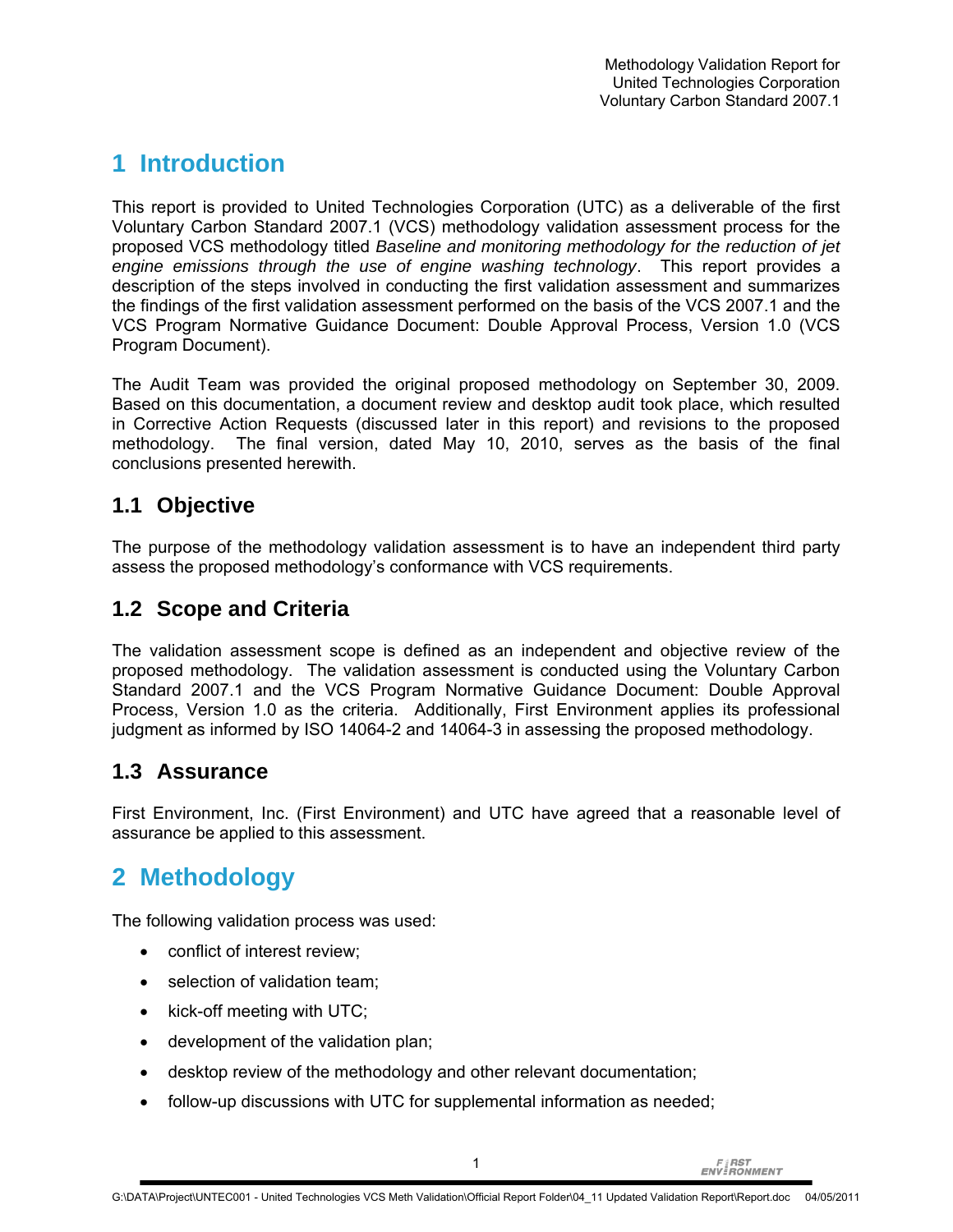## **1 Introduction**

This report is provided to United Technologies Corporation (UTC) as a deliverable of the first Voluntary Carbon Standard 2007.1 (VCS) methodology validation assessment process for the proposed VCS methodology titled *Baseline and monitoring methodology for the reduction of jet engine emissions through the use of engine washing technology*. This report provides a description of the steps involved in conducting the first validation assessment and summarizes the findings of the first validation assessment performed on the basis of the VCS 2007.1 and the VCS Program Normative Guidance Document: Double Approval Process, Version 1.0 (VCS Program Document).

The Audit Team was provided the original proposed methodology on September 30, 2009. Based on this documentation, a document review and desktop audit took place, which resulted in Corrective Action Requests (discussed later in this report) and revisions to the proposed methodology. The final version, dated May 10, 2010, serves as the basis of the final conclusions presented herewith.

## **1.1 Objective**

The purpose of the methodology validation assessment is to have an independent third party assess the proposed methodology's conformance with VCS requirements.

## **1.2 Scope and Criteria**

The validation assessment scope is defined as an independent and objective review of the proposed methodology. The validation assessment is conducted using the Voluntary Carbon Standard 2007.1 and the VCS Program Normative Guidance Document: Double Approval Process, Version 1.0 as the criteria. Additionally, First Environment applies its professional judgment as informed by ISO 14064-2 and 14064-3 in assessing the proposed methodology.

## **1.3 Assurance**

First Environment, Inc. (First Environment) and UTC have agreed that a reasonable level of assurance be applied to this assessment.

## **2 Methodology**

The following validation process was used:

- conflict of interest review;
- selection of validation team;
- kick-off meeting with UTC;
- development of the validation plan;
- desktop review of the methodology and other relevant documentation;
- follow-up discussions with UTC for supplemental information as needed;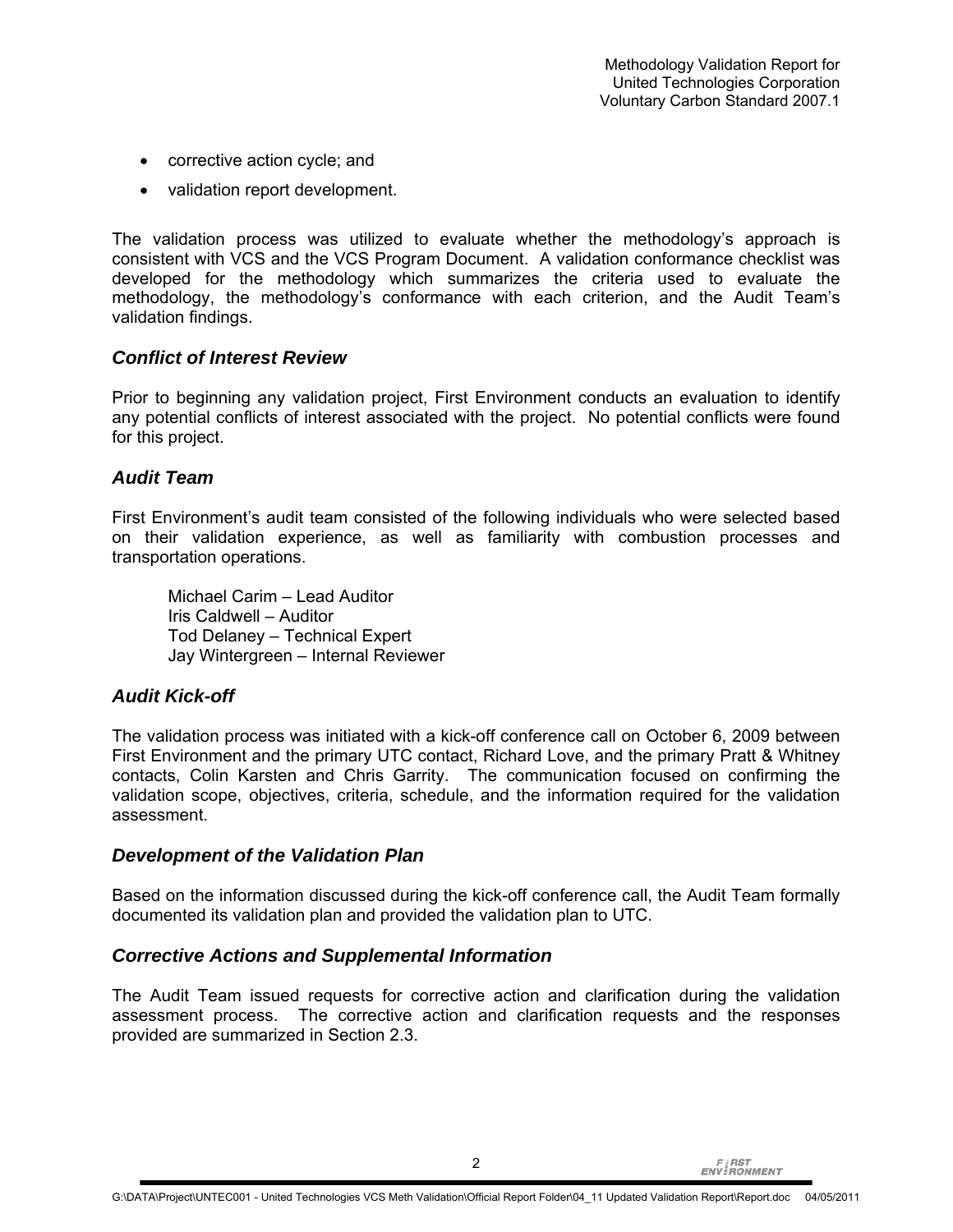- corrective action cycle; and
- validation report development.

The validation process was utilized to evaluate whether the methodology's approach is consistent with VCS and the VCS Program Document. A validation conformance checklist was developed for the methodology which summarizes the criteria used to evaluate the methodology, the methodology's conformance with each criterion, and the Audit Team's validation findings.

#### *Conflict of Interest Review*

Prior to beginning any validation project, First Environment conducts an evaluation to identify any potential conflicts of interest associated with the project. No potential conflicts were found for this project.

#### *Audit Team*

First Environment's audit team consisted of the following individuals who were selected based on their validation experience, as well as familiarity with combustion processes and transportation operations.

Michael Carim – Lead Auditor Iris Caldwell – Auditor Tod Delaney – Technical Expert Jay Wintergreen – Internal Reviewer

#### *Audit Kick-off*

The validation process was initiated with a kick-off conference call on October 6, 2009 between First Environment and the primary UTC contact, Richard Love, and the primary Pratt & Whitney contacts, Colin Karsten and Chris Garrity. The communication focused on confirming the validation scope, objectives, criteria, schedule, and the information required for the validation assessment.

#### *Development of the Validation Plan*

Based on the information discussed during the kick-off conference call, the Audit Team formally documented its validation plan and provided the validation plan to UTC.

#### *Corrective Actions and Supplemental Information*

The Audit Team issued requests for corrective action and clarification during the validation assessment process. The corrective action and clarification requests and the responses provided are summarized in Section 2.3.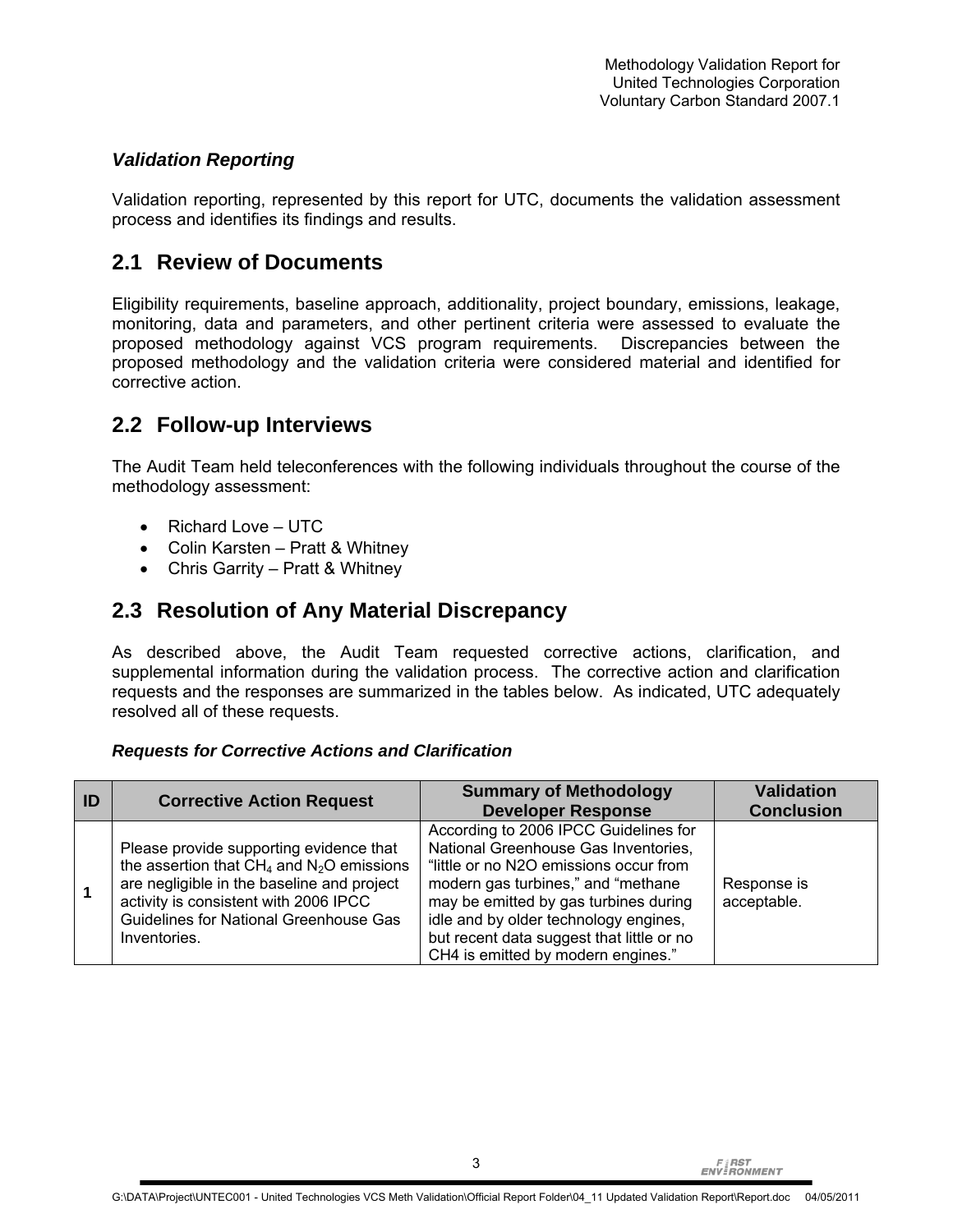#### *Validation Reporting*

Validation reporting, represented by this report for UTC, documents the validation assessment process and identifies its findings and results.

#### **2.1 Review of Documents**

Eligibility requirements, baseline approach, additionality, project boundary, emissions, leakage, monitoring, data and parameters, and other pertinent criteria were assessed to evaluate the proposed methodology against VCS program requirements. Discrepancies between the proposed methodology and the validation criteria were considered material and identified for corrective action.

#### **2.2 Follow-up Interviews**

The Audit Team held teleconferences with the following individuals throughout the course of the methodology assessment:

- Richard Love UTC
- Colin Karsten Pratt & Whitney
- Chris Garrity Pratt & Whitney

#### **2.3 Resolution of Any Material Discrepancy**

As described above, the Audit Team requested corrective actions, clarification, and supplemental information during the validation process. The corrective action and clarification requests and the responses are summarized in the tables below. As indicated, UTC adequately resolved all of these requests.

#### *Requests for Corrective Actions and Clarification*

| ID | <b>Corrective Action Request</b>                                                                                                                                                                                                           | <b>Summary of Methodology</b><br><b>Developer Response</b>                                                                                                                                                                                                                                                                          | <b>Validation</b><br><b>Conclusion</b> |
|----|--------------------------------------------------------------------------------------------------------------------------------------------------------------------------------------------------------------------------------------------|-------------------------------------------------------------------------------------------------------------------------------------------------------------------------------------------------------------------------------------------------------------------------------------------------------------------------------------|----------------------------------------|
|    | Please provide supporting evidence that<br>the assertion that $CH_4$ and $N_2O$ emissions<br>are negligible in the baseline and project<br>activity is consistent with 2006 IPCC<br>Guidelines for National Greenhouse Gas<br>Inventories. | According to 2006 IPCC Guidelines for<br>National Greenhouse Gas Inventories,<br>"little or no N2O emissions occur from<br>modern gas turbines," and "methane"<br>may be emitted by gas turbines during<br>idle and by older technology engines,<br>but recent data suggest that little or no<br>CH4 is emitted by modern engines." | Response is<br>acceptable.             |

3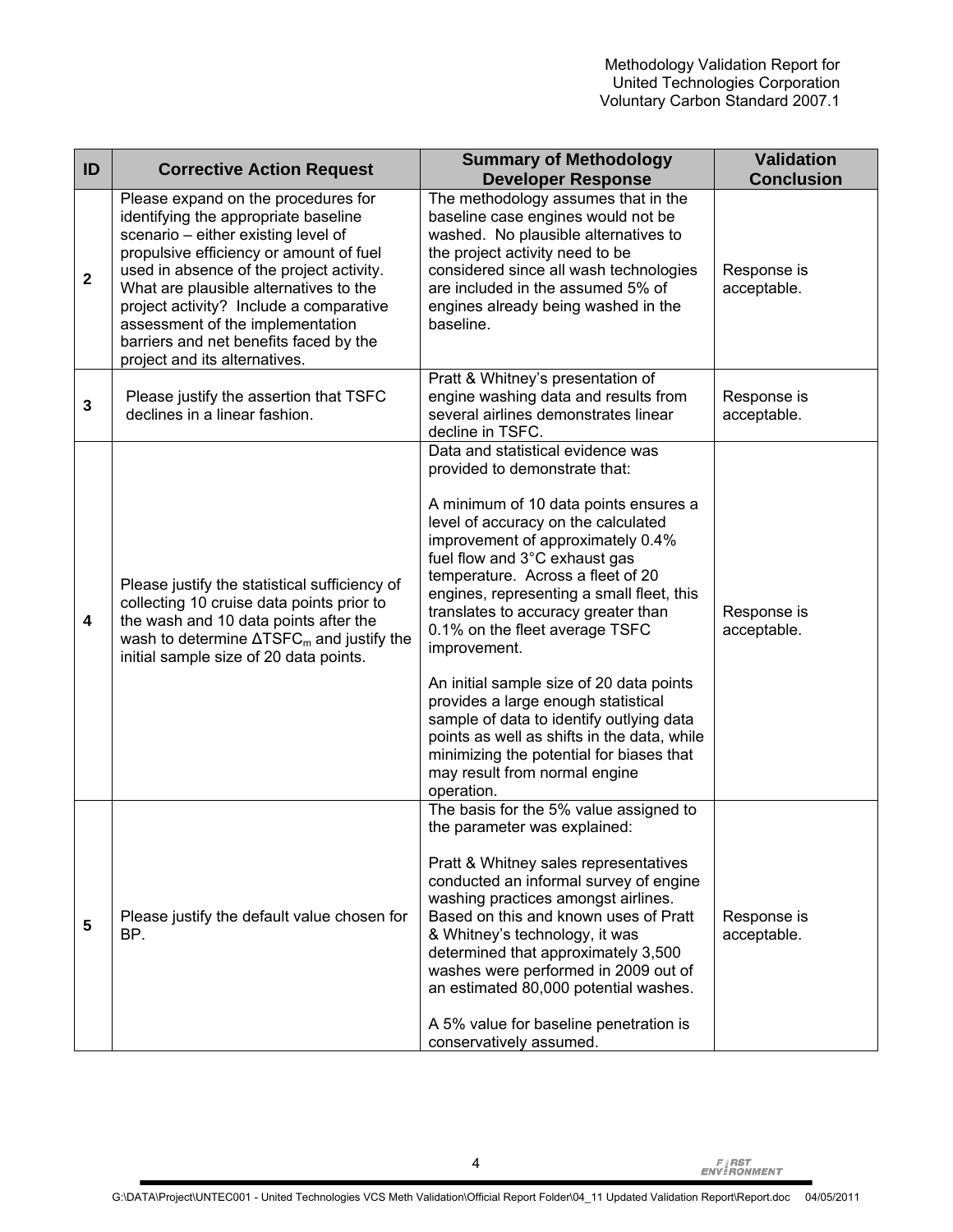| ID           | <b>Corrective Action Request</b>                                                                                                                                                                                                                                                                                                                                                                              | <b>Summary of Methodology</b><br><b>Developer Response</b>                                                                                                                                                                                                                                                                                                                                                                                                                                                                                                                                                                                                                   | <b>Validation</b><br><b>Conclusion</b> |
|--------------|---------------------------------------------------------------------------------------------------------------------------------------------------------------------------------------------------------------------------------------------------------------------------------------------------------------------------------------------------------------------------------------------------------------|------------------------------------------------------------------------------------------------------------------------------------------------------------------------------------------------------------------------------------------------------------------------------------------------------------------------------------------------------------------------------------------------------------------------------------------------------------------------------------------------------------------------------------------------------------------------------------------------------------------------------------------------------------------------------|----------------------------------------|
| $\mathbf{2}$ | Please expand on the procedures for<br>identifying the appropriate baseline<br>scenario - either existing level of<br>propulsive efficiency or amount of fuel<br>used in absence of the project activity.<br>What are plausible alternatives to the<br>project activity? Include a comparative<br>assessment of the implementation<br>barriers and net benefits faced by the<br>project and its alternatives. | The methodology assumes that in the<br>baseline case engines would not be<br>washed. No plausible alternatives to<br>the project activity need to be<br>considered since all wash technologies<br>are included in the assumed 5% of<br>engines already being washed in the<br>baseline.                                                                                                                                                                                                                                                                                                                                                                                      | Response is<br>acceptable.             |
| 3            | Please justify the assertion that TSFC<br>declines in a linear fashion.                                                                                                                                                                                                                                                                                                                                       | Pratt & Whitney's presentation of<br>engine washing data and results from<br>several airlines demonstrates linear<br>decline in TSFC.                                                                                                                                                                                                                                                                                                                                                                                                                                                                                                                                        | Response is<br>acceptable.             |
| 4            | Please justify the statistical sufficiency of<br>collecting 10 cruise data points prior to<br>the wash and 10 data points after the<br>wash to determine $\Delta T S F C_m$ and justify the<br>initial sample size of 20 data points.                                                                                                                                                                         | Data and statistical evidence was<br>provided to demonstrate that:<br>A minimum of 10 data points ensures a<br>level of accuracy on the calculated<br>improvement of approximately 0.4%<br>fuel flow and 3°C exhaust gas<br>temperature. Across a fleet of 20<br>engines, representing a small fleet, this<br>translates to accuracy greater than<br>0.1% on the fleet average TSFC<br>improvement.<br>An initial sample size of 20 data points<br>provides a large enough statistical<br>sample of data to identify outlying data<br>points as well as shifts in the data, while<br>minimizing the potential for biases that<br>may result from normal engine<br>operation. | Response is<br>acceptable.             |
| 5            | Please justify the default value chosen for<br>BP.                                                                                                                                                                                                                                                                                                                                                            | The basis for the 5% value assigned to<br>the parameter was explained:<br>Pratt & Whitney sales representatives<br>conducted an informal survey of engine<br>washing practices amongst airlines.<br>Based on this and known uses of Pratt<br>& Whitney's technology, it was<br>determined that approximately 3,500<br>washes were performed in 2009 out of<br>an estimated 80,000 potential washes.<br>A 5% value for baseline penetration is<br>conservatively assumed.                                                                                                                                                                                                     | Response is<br>acceptable.             |

4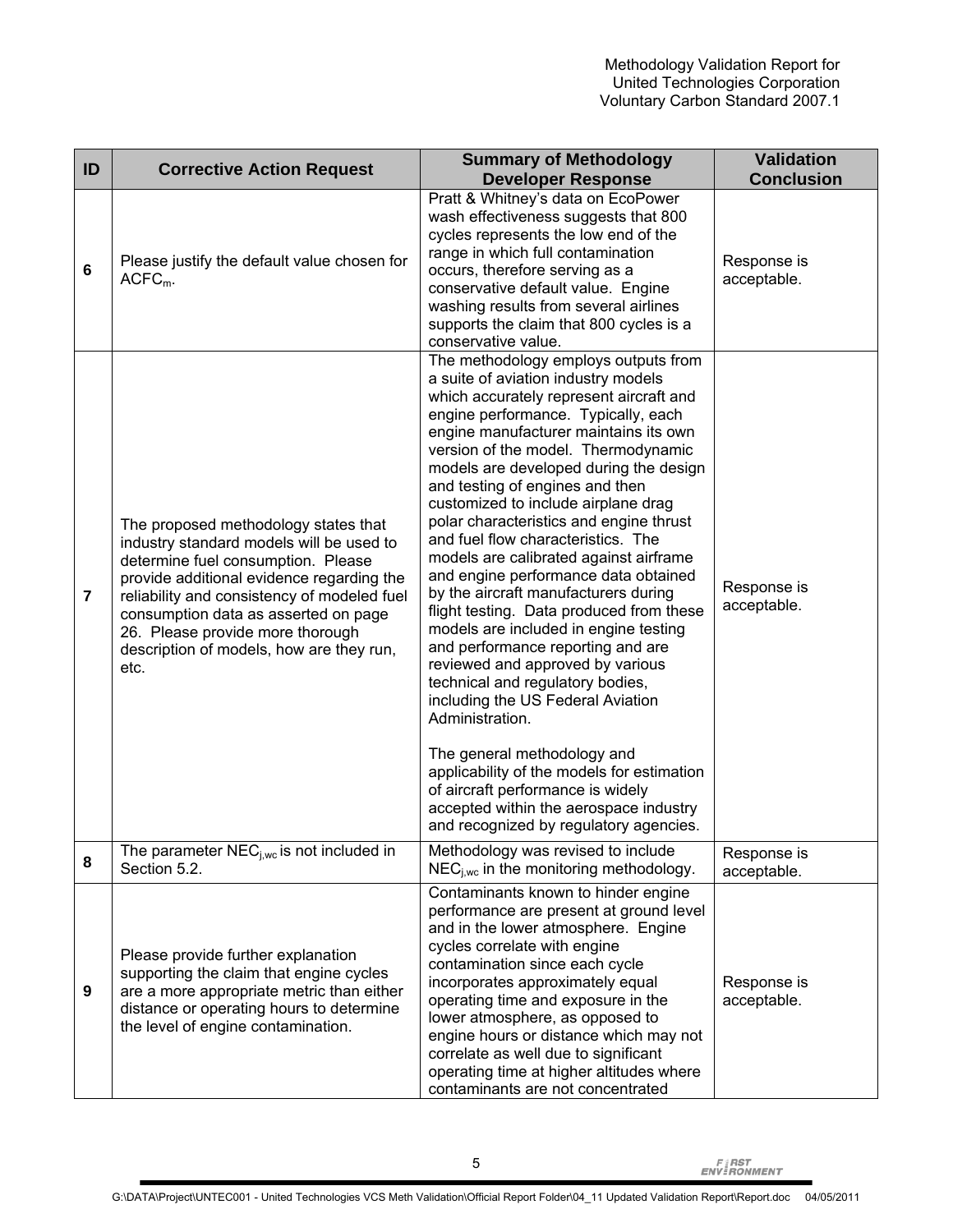| ID             | <b>Corrective Action Request</b>                                                                                                                                                                                                                                                                                                                   | <b>Summary of Methodology</b><br><b>Developer Response</b>                                                                                                                                                                                                                                                                                                                                                                                                                                                                                                                                                                                                                                                                                                                                                                                                                                                                                                                                                                                   | <b>Validation</b><br><b>Conclusion</b> |
|----------------|----------------------------------------------------------------------------------------------------------------------------------------------------------------------------------------------------------------------------------------------------------------------------------------------------------------------------------------------------|----------------------------------------------------------------------------------------------------------------------------------------------------------------------------------------------------------------------------------------------------------------------------------------------------------------------------------------------------------------------------------------------------------------------------------------------------------------------------------------------------------------------------------------------------------------------------------------------------------------------------------------------------------------------------------------------------------------------------------------------------------------------------------------------------------------------------------------------------------------------------------------------------------------------------------------------------------------------------------------------------------------------------------------------|----------------------------------------|
| 6              | Please justify the default value chosen for<br>$ACFCm$ .                                                                                                                                                                                                                                                                                           | Pratt & Whitney's data on EcoPower<br>wash effectiveness suggests that 800<br>cycles represents the low end of the<br>range in which full contamination<br>occurs, therefore serving as a<br>conservative default value. Engine<br>washing results from several airlines<br>supports the claim that 800 cycles is a<br>conservative value.                                                                                                                                                                                                                                                                                                                                                                                                                                                                                                                                                                                                                                                                                                   | Response is<br>acceptable.             |
| $\overline{7}$ | The proposed methodology states that<br>industry standard models will be used to<br>determine fuel consumption. Please<br>provide additional evidence regarding the<br>reliability and consistency of modeled fuel<br>consumption data as asserted on page<br>26. Please provide more thorough<br>description of models, how are they run,<br>etc. | The methodology employs outputs from<br>a suite of aviation industry models<br>which accurately represent aircraft and<br>engine performance. Typically, each<br>engine manufacturer maintains its own<br>version of the model. Thermodynamic<br>models are developed during the design<br>and testing of engines and then<br>customized to include airplane drag<br>polar characteristics and engine thrust<br>and fuel flow characteristics. The<br>models are calibrated against airframe<br>and engine performance data obtained<br>by the aircraft manufacturers during<br>flight testing. Data produced from these<br>models are included in engine testing<br>and performance reporting and are<br>reviewed and approved by various<br>technical and regulatory bodies,<br>including the US Federal Aviation<br>Administration.<br>The general methodology and<br>applicability of the models for estimation<br>of aircraft performance is widely<br>accepted within the aerospace industry<br>and recognized by regulatory agencies. | Response is<br>acceptable.             |
| 8              | The parameter $NEC_{i,wc}$ is not included in<br>Section 5.2.                                                                                                                                                                                                                                                                                      | Methodology was revised to include<br>$NEC_{i,wc}$ in the monitoring methodology.                                                                                                                                                                                                                                                                                                                                                                                                                                                                                                                                                                                                                                                                                                                                                                                                                                                                                                                                                            | Response is<br>acceptable.             |
| 9              | Please provide further explanation<br>supporting the claim that engine cycles<br>are a more appropriate metric than either<br>distance or operating hours to determine<br>the level of engine contamination.                                                                                                                                       | Contaminants known to hinder engine<br>performance are present at ground level<br>and in the lower atmosphere. Engine<br>cycles correlate with engine<br>contamination since each cycle<br>incorporates approximately equal<br>operating time and exposure in the<br>lower atmosphere, as opposed to<br>engine hours or distance which may not<br>correlate as well due to significant<br>operating time at higher altitudes where<br>contaminants are not concentrated                                                                                                                                                                                                                                                                                                                                                                                                                                                                                                                                                                      | Response is<br>acceptable.             |

**FIRST**<br>ENVIRONMENT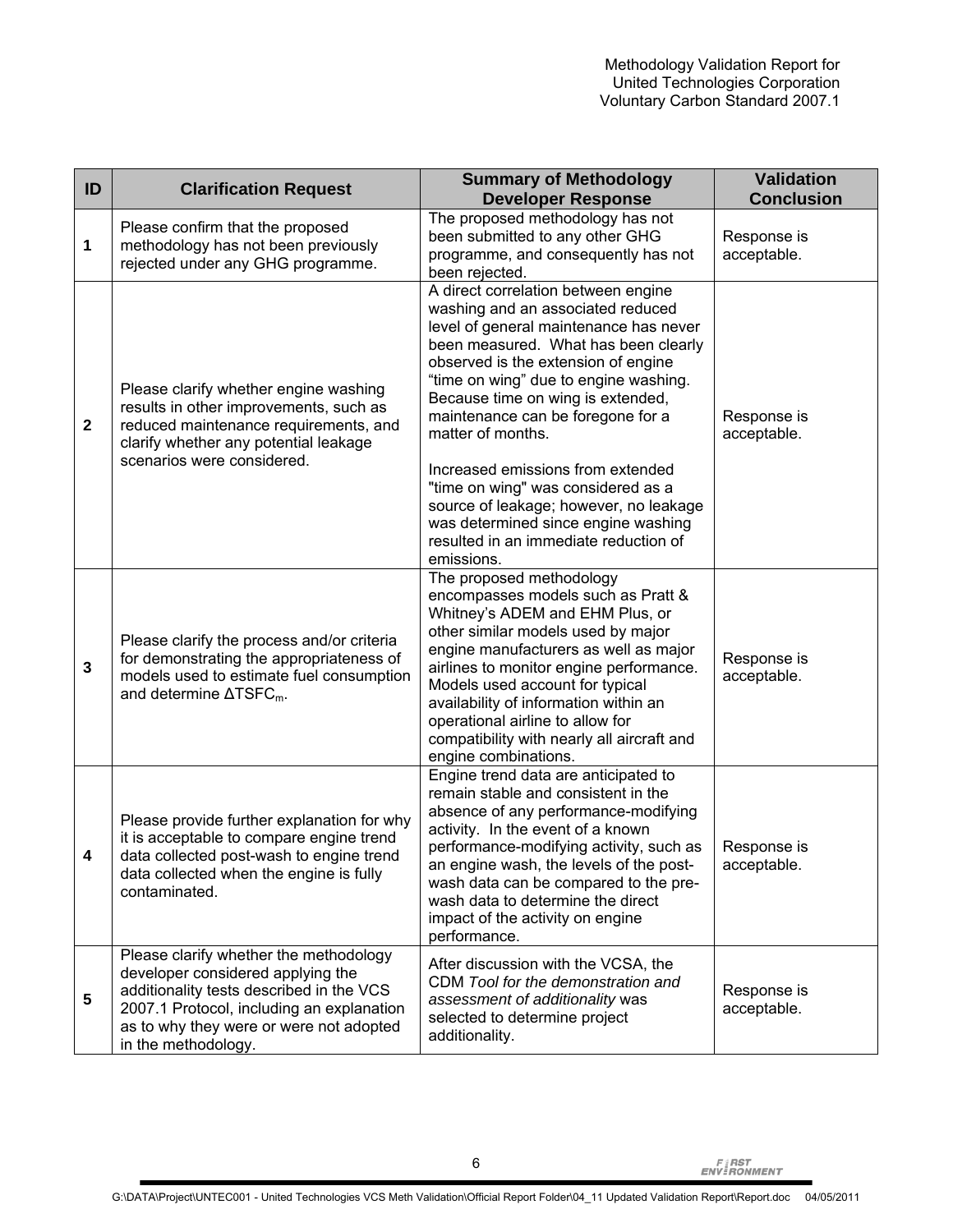| ID           | <b>Clarification Request</b>                                                                                                                                                                                                           | <b>Summary of Methodology</b><br><b>Developer Response</b>                                                                                                                                                                                                                                                                                                                                                                                                                                                                                                   | <b>Validation</b><br><b>Conclusion</b> |
|--------------|----------------------------------------------------------------------------------------------------------------------------------------------------------------------------------------------------------------------------------------|--------------------------------------------------------------------------------------------------------------------------------------------------------------------------------------------------------------------------------------------------------------------------------------------------------------------------------------------------------------------------------------------------------------------------------------------------------------------------------------------------------------------------------------------------------------|----------------------------------------|
| 1            | Please confirm that the proposed<br>methodology has not been previously<br>rejected under any GHG programme.                                                                                                                           | The proposed methodology has not<br>been submitted to any other GHG<br>programme, and consequently has not<br>been rejected.                                                                                                                                                                                                                                                                                                                                                                                                                                 | Response is<br>acceptable.             |
| $\mathbf{2}$ | Please clarify whether engine washing<br>results in other improvements, such as<br>reduced maintenance requirements, and<br>clarify whether any potential leakage<br>scenarios were considered.                                        | A direct correlation between engine<br>washing and an associated reduced<br>level of general maintenance has never<br>been measured. What has been clearly<br>observed is the extension of engine<br>"time on wing" due to engine washing.<br>Because time on wing is extended,<br>maintenance can be foregone for a<br>matter of months.<br>Increased emissions from extended<br>"time on wing" was considered as a<br>source of leakage; however, no leakage<br>was determined since engine washing<br>resulted in an immediate reduction of<br>emissions. | Response is<br>acceptable.             |
| $\mathbf{3}$ | Please clarify the process and/or criteria<br>for demonstrating the appropriateness of<br>models used to estimate fuel consumption<br>and determine $\Delta T S F C_m$ .                                                               | The proposed methodology<br>encompasses models such as Pratt &<br>Whitney's ADEM and EHM Plus, or<br>other similar models used by major<br>engine manufacturers as well as major<br>airlines to monitor engine performance.<br>Models used account for typical<br>availability of information within an<br>operational airline to allow for<br>compatibility with nearly all aircraft and<br>engine combinations.                                                                                                                                            | Response is<br>acceptable.             |
| 4            | Please provide further explanation for why<br>it is acceptable to compare engine trend<br>data collected post-wash to engine trend<br>data collected when the engine is fully<br>contaminated.                                         | Engine trend data are anticipated to<br>remain stable and consistent in the<br>absence of any performance-modifying<br>activity. In the event of a known<br>performance-modifying activity, such as<br>an engine wash, the levels of the post-<br>wash data can be compared to the pre-<br>wash data to determine the direct<br>impact of the activity on engine<br>performance.                                                                                                                                                                             | Response is<br>acceptable.             |
| 5            | Please clarify whether the methodology<br>developer considered applying the<br>additionality tests described in the VCS<br>2007.1 Protocol, including an explanation<br>as to why they were or were not adopted<br>in the methodology. | After discussion with the VCSA, the<br>CDM Tool for the demonstration and<br>assessment of additionality was<br>selected to determine project<br>additionality.                                                                                                                                                                                                                                                                                                                                                                                              | Response is<br>acceptable.             |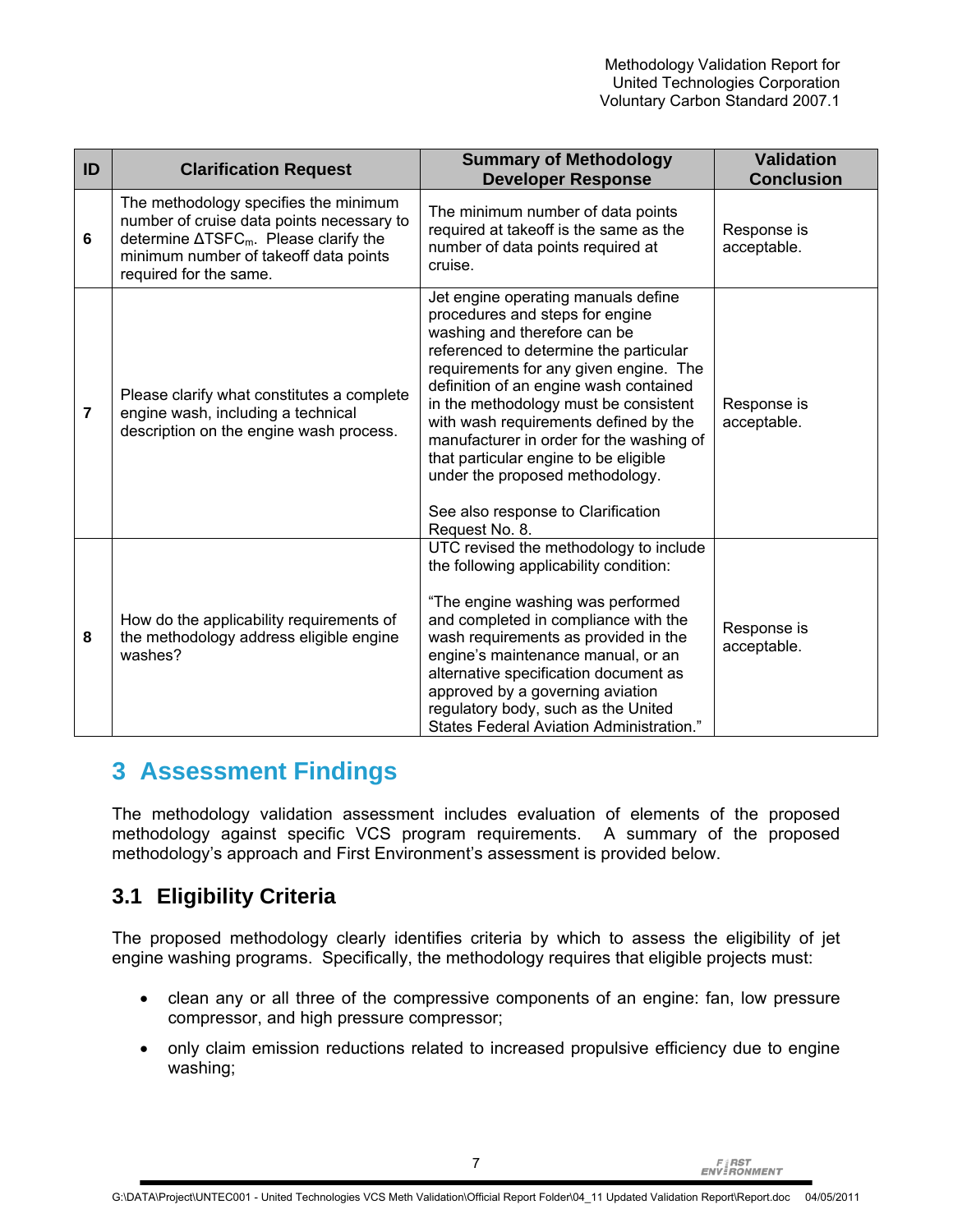| ID | <b>Clarification Request</b>                                                                                                                                                                               | <b>Summary of Methodology</b><br><b>Developer Response</b>                                                                                                                                                                                                                                                                                                                                                                                                                                             | <b>Validation</b><br><b>Conclusion</b> |
|----|------------------------------------------------------------------------------------------------------------------------------------------------------------------------------------------------------------|--------------------------------------------------------------------------------------------------------------------------------------------------------------------------------------------------------------------------------------------------------------------------------------------------------------------------------------------------------------------------------------------------------------------------------------------------------------------------------------------------------|----------------------------------------|
| 6  | The methodology specifies the minimum<br>number of cruise data points necessary to<br>determine $\Delta T S F C_m$ . Please clarify the<br>minimum number of takeoff data points<br>required for the same. | The minimum number of data points<br>required at takeoff is the same as the<br>number of data points required at<br>cruise.                                                                                                                                                                                                                                                                                                                                                                            | Response is<br>acceptable.             |
| 7  | Please clarify what constitutes a complete<br>engine wash, including a technical<br>description on the engine wash process.                                                                                | Jet engine operating manuals define<br>procedures and steps for engine<br>washing and therefore can be<br>referenced to determine the particular<br>requirements for any given engine. The<br>definition of an engine wash contained<br>in the methodology must be consistent<br>with wash requirements defined by the<br>manufacturer in order for the washing of<br>that particular engine to be eligible<br>under the proposed methodology.<br>See also response to Clarification<br>Request No. 8. | Response is<br>acceptable.             |
| 8  | How do the applicability requirements of<br>the methodology address eligible engine<br>washes?                                                                                                             | UTC revised the methodology to include<br>the following applicability condition:<br>"The engine washing was performed<br>and completed in compliance with the<br>wash requirements as provided in the<br>engine's maintenance manual, or an<br>alternative specification document as<br>approved by a governing aviation<br>regulatory body, such as the United<br>States Federal Aviation Administration."                                                                                            | Response is<br>acceptable.             |

## **3 Assessment Findings**

The methodology validation assessment includes evaluation of elements of the proposed methodology against specific VCS program requirements. A summary of the proposed methodology's approach and First Environment's assessment is provided below.

## **3.1 Eligibility Criteria**

The proposed methodology clearly identifies criteria by which to assess the eligibility of jet engine washing programs. Specifically, the methodology requires that eligible projects must:

- clean any or all three of the compressive components of an engine: fan, low pressure compressor, and high pressure compressor;
- only claim emission reductions related to increased propulsive efficiency due to engine washing;

**FIRST**<br>ENVERONMENT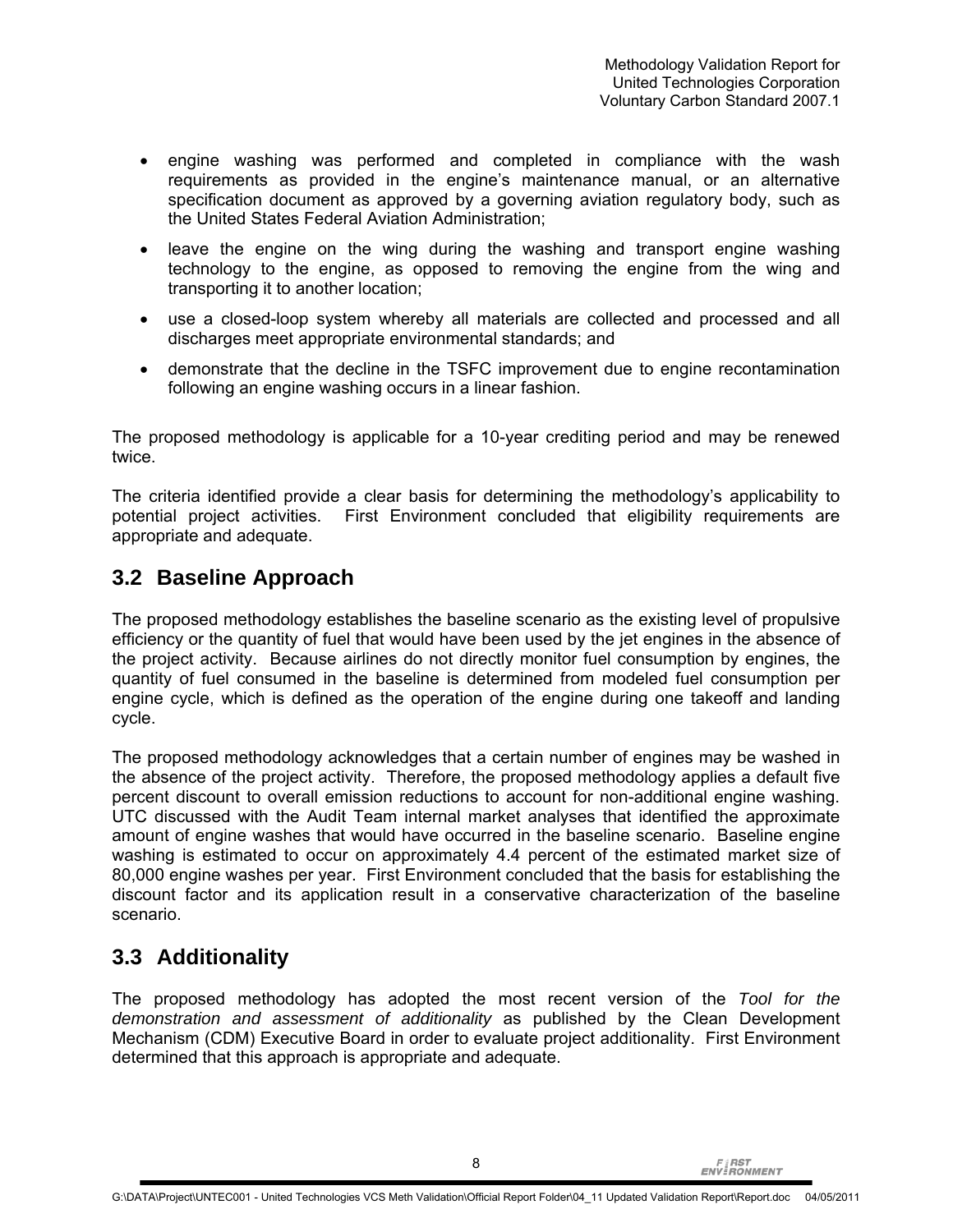- engine washing was performed and completed in compliance with the wash requirements as provided in the engine's maintenance manual, or an alternative specification document as approved by a governing aviation regulatory body, such as the United States Federal Aviation Administration;
- leave the engine on the wing during the washing and transport engine washing technology to the engine, as opposed to removing the engine from the wing and transporting it to another location;
- use a closed-loop system whereby all materials are collected and processed and all discharges meet appropriate environmental standards; and
- demonstrate that the decline in the TSFC improvement due to engine recontamination following an engine washing occurs in a linear fashion.

The proposed methodology is applicable for a 10-year crediting period and may be renewed twice.

The criteria identified provide a clear basis for determining the methodology's applicability to potential project activities. First Environment concluded that eligibility requirements are appropriate and adequate.

### **3.2 Baseline Approach**

The proposed methodology establishes the baseline scenario as the existing level of propulsive efficiency or the quantity of fuel that would have been used by the jet engines in the absence of the project activity. Because airlines do not directly monitor fuel consumption by engines, the quantity of fuel consumed in the baseline is determined from modeled fuel consumption per engine cycle, which is defined as the operation of the engine during one takeoff and landing cycle.

The proposed methodology acknowledges that a certain number of engines may be washed in the absence of the project activity. Therefore, the proposed methodology applies a default five percent discount to overall emission reductions to account for non-additional engine washing. UTC discussed with the Audit Team internal market analyses that identified the approximate amount of engine washes that would have occurred in the baseline scenario. Baseline engine washing is estimated to occur on approximately 4.4 percent of the estimated market size of 80,000 engine washes per year. First Environment concluded that the basis for establishing the discount factor and its application result in a conservative characterization of the baseline scenario.

## **3.3 Additionality**

The proposed methodology has adopted the most recent version of the *Tool for the demonstration and assessment of additionality* as published by the Clean Development Mechanism (CDM) Executive Board in order to evaluate project additionality. First Environment determined that this approach is appropriate and adequate.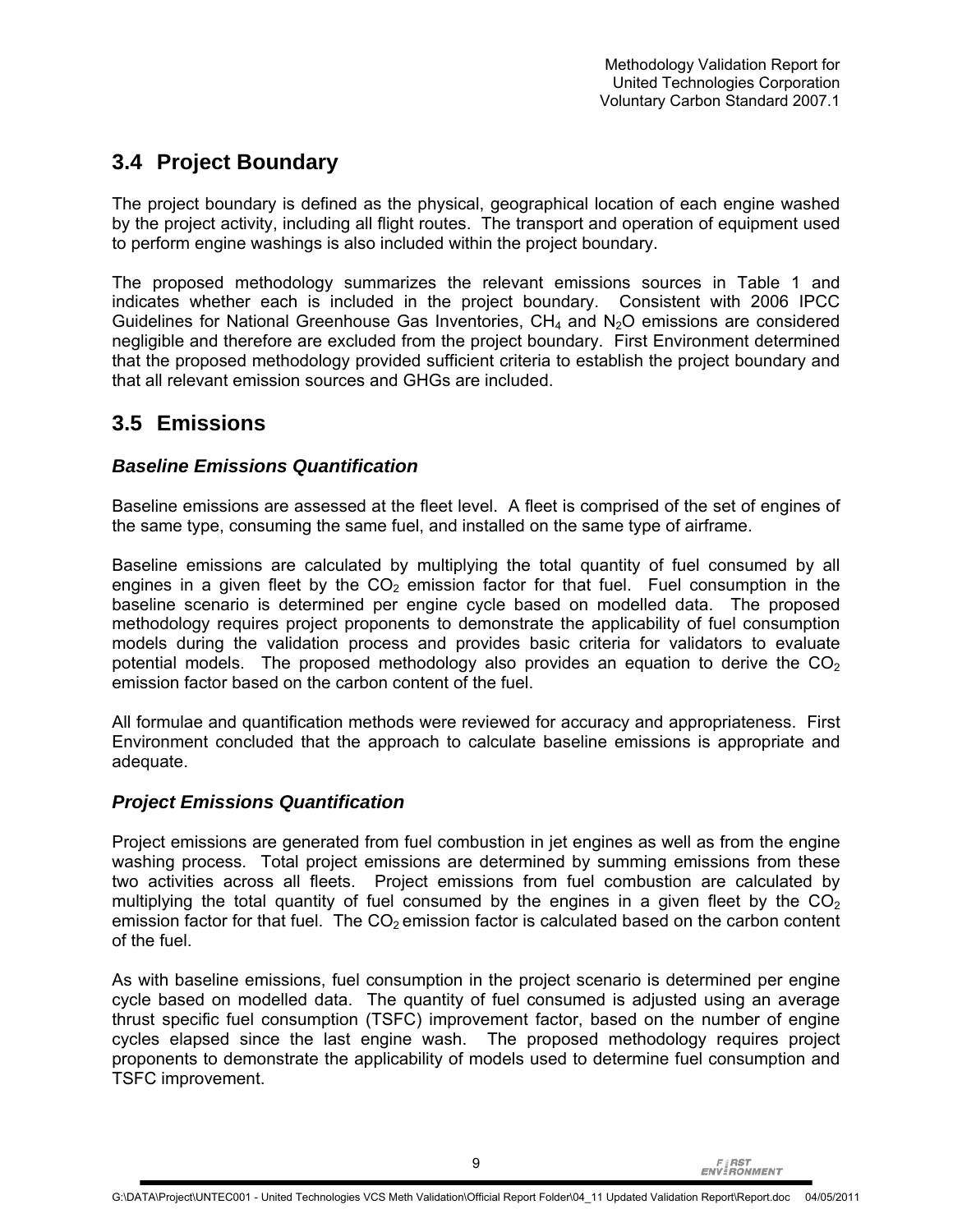## **3.4 Project Boundary**

The project boundary is defined as the physical, geographical location of each engine washed by the project activity, including all flight routes. The transport and operation of equipment used to perform engine washings is also included within the project boundary.

The proposed methodology summarizes the relevant emissions sources in Table 1 and indicates whether each is included in the project boundary. Consistent with 2006 IPCC Guidelines for National Greenhouse Gas Inventories,  $CH_4$  and  $N_2O$  emissions are considered negligible and therefore are excluded from the project boundary. First Environment determined that the proposed methodology provided sufficient criteria to establish the project boundary and that all relevant emission sources and GHGs are included.

## **3.5 Emissions**

#### *Baseline Emissions Quantification*

Baseline emissions are assessed at the fleet level. A fleet is comprised of the set of engines of the same type, consuming the same fuel, and installed on the same type of airframe.

Baseline emissions are calculated by multiplying the total quantity of fuel consumed by all engines in a given fleet by the  $CO<sub>2</sub>$  emission factor for that fuel. Fuel consumption in the baseline scenario is determined per engine cycle based on modelled data. The proposed methodology requires project proponents to demonstrate the applicability of fuel consumption models during the validation process and provides basic criteria for validators to evaluate potential models. The proposed methodology also provides an equation to derive the  $CO<sub>2</sub>$ emission factor based on the carbon content of the fuel.

All formulae and quantification methods were reviewed for accuracy and appropriateness. First Environment concluded that the approach to calculate baseline emissions is appropriate and adequate.

#### *Project Emissions Quantification*

Project emissions are generated from fuel combustion in jet engines as well as from the engine washing process. Total project emissions are determined by summing emissions from these two activities across all fleets. Project emissions from fuel combustion are calculated by multiplying the total quantity of fuel consumed by the engines in a given fleet by the  $CO<sub>2</sub>$ emission factor for that fuel. The  $CO<sub>2</sub>$  emission factor is calculated based on the carbon content of the fuel.

As with baseline emissions, fuel consumption in the project scenario is determined per engine cycle based on modelled data. The quantity of fuel consumed is adjusted using an average thrust specific fuel consumption (TSFC) improvement factor, based on the number of engine cycles elapsed since the last engine wash. The proposed methodology requires project proponents to demonstrate the applicability of models used to determine fuel consumption and TSFC improvement.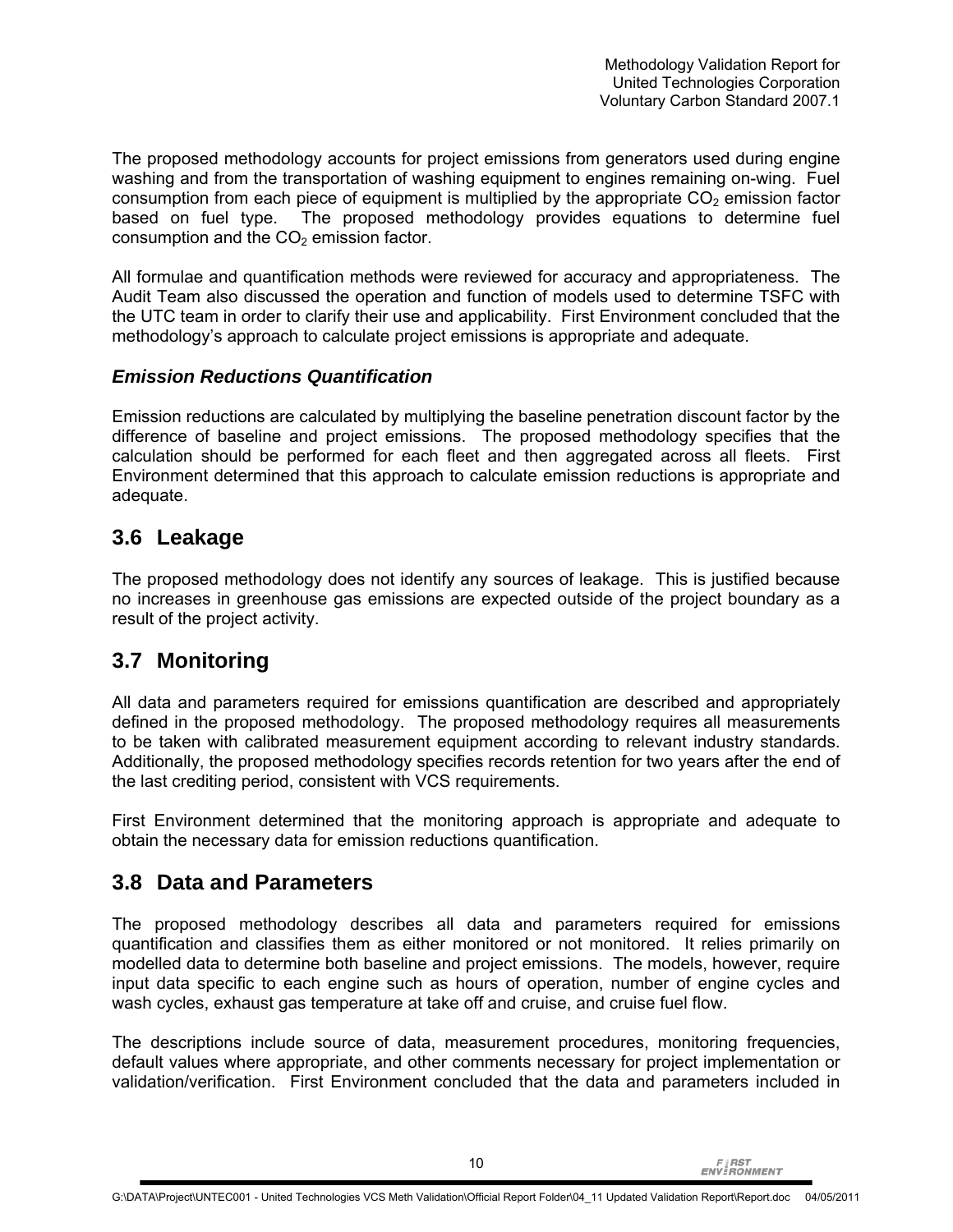The proposed methodology accounts for project emissions from generators used during engine washing and from the transportation of washing equipment to engines remaining on-wing. Fuel consumption from each piece of equipment is multiplied by the appropriate  $CO<sub>2</sub>$  emission factor based on fuel type. The proposed methodology provides equations to determine fuel consumption and the  $CO<sub>2</sub>$  emission factor.

All formulae and quantification methods were reviewed for accuracy and appropriateness. The Audit Team also discussed the operation and function of models used to determine TSFC with the UTC team in order to clarify their use and applicability. First Environment concluded that the methodology's approach to calculate project emissions is appropriate and adequate.

#### *Emission Reductions Quantification*

Emission reductions are calculated by multiplying the baseline penetration discount factor by the difference of baseline and project emissions. The proposed methodology specifies that the calculation should be performed for each fleet and then aggregated across all fleets. First Environment determined that this approach to calculate emission reductions is appropriate and adequate.

### **3.6 Leakage**

The proposed methodology does not identify any sources of leakage. This is justified because no increases in greenhouse gas emissions are expected outside of the project boundary as a result of the project activity.

## **3.7 Monitoring**

All data and parameters required for emissions quantification are described and appropriately defined in the proposed methodology. The proposed methodology requires all measurements to be taken with calibrated measurement equipment according to relevant industry standards. Additionally, the proposed methodology specifies records retention for two years after the end of the last crediting period, consistent with VCS requirements.

First Environment determined that the monitoring approach is appropriate and adequate to obtain the necessary data for emission reductions quantification.

#### **3.8 Data and Parameters**

The proposed methodology describes all data and parameters required for emissions quantification and classifies them as either monitored or not monitored. It relies primarily on modelled data to determine both baseline and project emissions. The models, however, require input data specific to each engine such as hours of operation, number of engine cycles and wash cycles, exhaust gas temperature at take off and cruise, and cruise fuel flow.

The descriptions include source of data, measurement procedures, monitoring frequencies, default values where appropriate, and other comments necessary for project implementation or validation/verification. First Environment concluded that the data and parameters included in

**FIRST**<br>ENVIRONMENT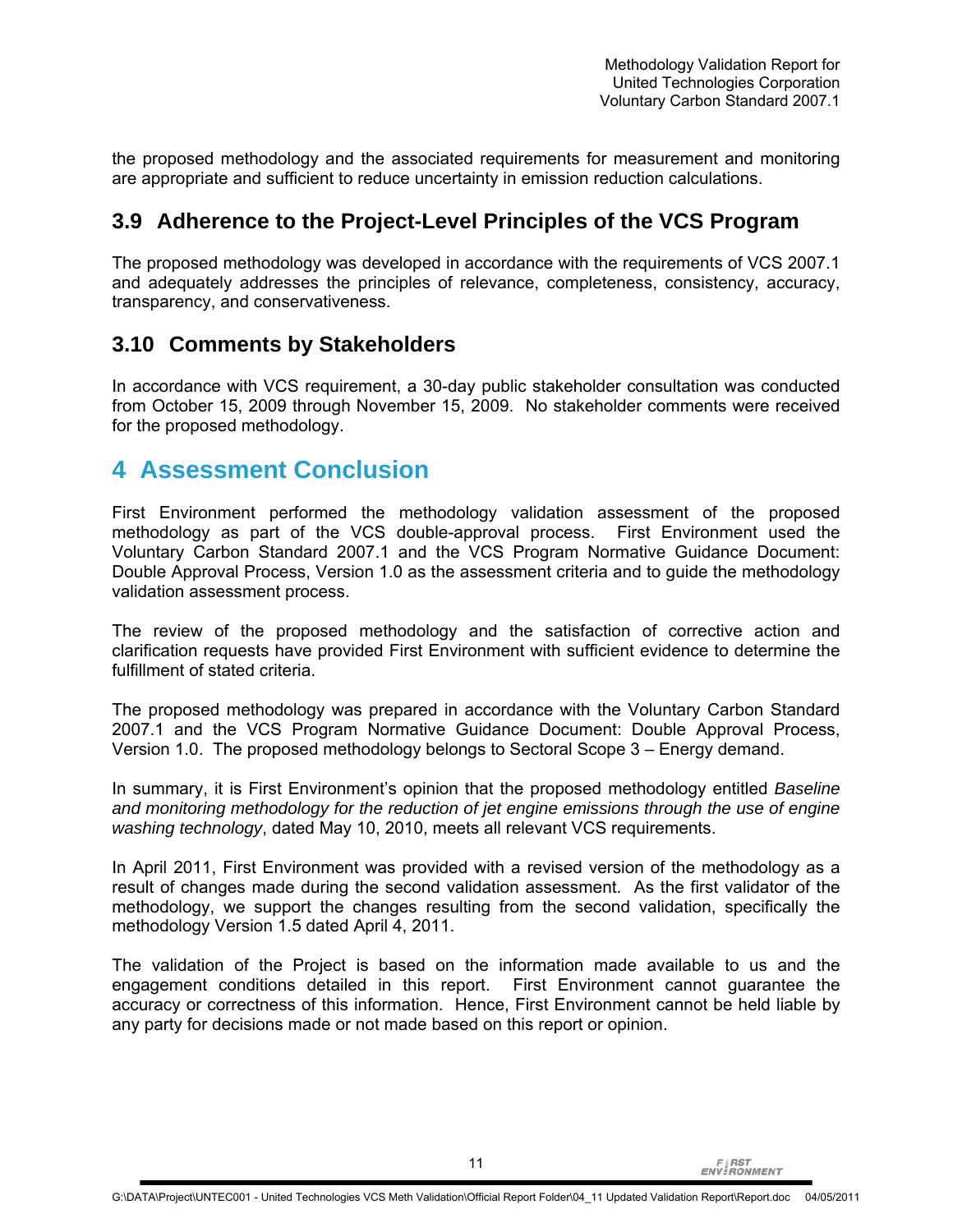the proposed methodology and the associated requirements for measurement and monitoring are appropriate and sufficient to reduce uncertainty in emission reduction calculations.

### **3.9 Adherence to the Project-Level Principles of the VCS Program**

The proposed methodology was developed in accordance with the requirements of VCS 2007.1 and adequately addresses the principles of relevance, completeness, consistency, accuracy, transparency, and conservativeness.

### **3.10 Comments by Stakeholders**

In accordance with VCS requirement, a 30-day public stakeholder consultation was conducted from October 15, 2009 through November 15, 2009. No stakeholder comments were received for the proposed methodology.

## **4 Assessment Conclusion**

First Environment performed the methodology validation assessment of the proposed methodology as part of the VCS double-approval process. First Environment used the Voluntary Carbon Standard 2007.1 and the VCS Program Normative Guidance Document: Double Approval Process, Version 1.0 as the assessment criteria and to guide the methodology validation assessment process.

The review of the proposed methodology and the satisfaction of corrective action and clarification requests have provided First Environment with sufficient evidence to determine the fulfillment of stated criteria.

The proposed methodology was prepared in accordance with the Voluntary Carbon Standard 2007.1 and the VCS Program Normative Guidance Document: Double Approval Process, Version 1.0. The proposed methodology belongs to Sectoral Scope 3 – Energy demand.

In summary, it is First Environment's opinion that the proposed methodology entitled *Baseline and monitoring methodology for the reduction of jet engine emissions through the use of engine washing technology*, dated May 10, 2010, meets all relevant VCS requirements.

In April 2011, First Environment was provided with a revised version of the methodology as a result of changes made during the second validation assessment. As the first validator of the methodology, we support the changes resulting from the second validation, specifically the methodology Version 1.5 dated April 4, 2011.

The validation of the Project is based on the information made available to us and the engagement conditions detailed in this report. First Environment cannot guarantee the accuracy or correctness of this information. Hence, First Environment cannot be held liable by any party for decisions made or not made based on this report or opinion.